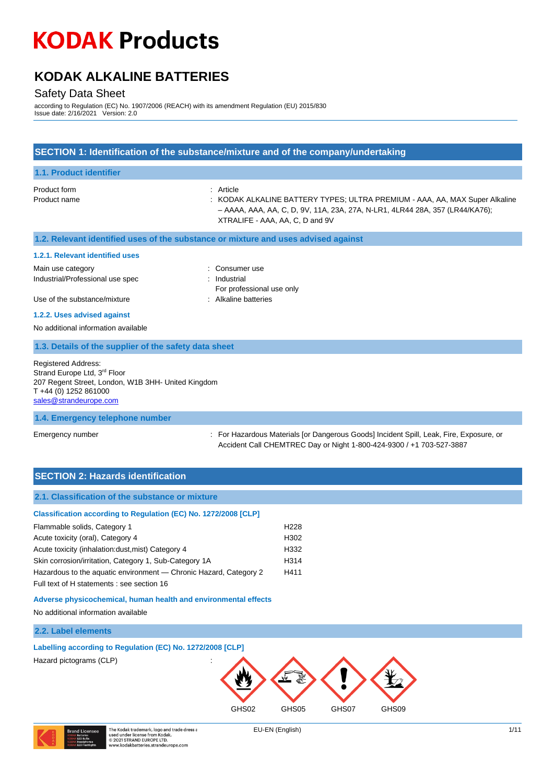# **KODAK ALKALINE BATTERIES**

## Safety Data Sheet

according to Regulation (EC) No. 1907/2006 (REACH) with its amendment Regulation (EU) 2015/830 Issue date: 2/16/2021 Version: 2.0

|                                                                                                                                                                     | SECTION 1: Identification of the substance/mixture and of the company/undertaking                                                                                                                           |
|---------------------------------------------------------------------------------------------------------------------------------------------------------------------|-------------------------------------------------------------------------------------------------------------------------------------------------------------------------------------------------------------|
| 1.1. Product identifier                                                                                                                                             |                                                                                                                                                                                                             |
| Product form<br>Product name                                                                                                                                        | : Article<br>: KODAK ALKALINE BATTERY TYPES; ULTRA PREMIUM - AAA, AA, MAX Super Alkaline<br>- AAAA, AAA, AA, C, D, 9V, 11A, 23A, 27A, N-LR1, 4LR44 28A, 357 (LR44/KA76);<br>XTRALIFE - AAA, AA, C, D and 9V |
|                                                                                                                                                                     | 1.2. Relevant identified uses of the substance or mixture and uses advised against                                                                                                                          |
| 1.2.1. Relevant identified uses                                                                                                                                     |                                                                                                                                                                                                             |
| Main use category<br>Industrial/Professional use spec<br>Use of the substance/mixture                                                                               | Consumer use<br>Industrial<br>For professional use only<br>Alkaline batteries                                                                                                                               |
| 1.2.2. Uses advised against                                                                                                                                         |                                                                                                                                                                                                             |
| No additional information available                                                                                                                                 |                                                                                                                                                                                                             |
| 1.3. Details of the supplier of the safety data sheet                                                                                                               |                                                                                                                                                                                                             |
| <b>Registered Address:</b><br>Strand Europe Ltd, 3rd Floor<br>207 Regent Street, London, W1B 3HH- United Kingdom<br>T +44 (0) 1252 861000<br>sales@strandeurope.com |                                                                                                                                                                                                             |
| 1.4. Emergency telephone number                                                                                                                                     |                                                                                                                                                                                                             |
| Emergency number                                                                                                                                                    | For Hazardous Materials for Dangerous Goods] Incident Spill, Leak, Fire, Exposure, or<br>Accident Call CHEMTREC Day or Night 1-800-424-9300 / +1 703-527-3887                                               |

|  | <b>SECTION 2: Hazards identification</b> |  |  |  |
|--|------------------------------------------|--|--|--|
|--|------------------------------------------|--|--|--|

| 2.1. Classification of the substance or mixture                   |                  |
|-------------------------------------------------------------------|------------------|
| Classification according to Regulation (EC) No. 1272/2008 [CLP]   |                  |
| Flammable solids, Category 1                                      | H <sub>228</sub> |
| Acute toxicity (oral), Category 4                                 | H302             |
| Acute toxicity (inhalation: dust, mist) Category 4                | H332             |
| Skin corrosion/irritation, Category 1, Sub-Category 1A            | H314             |
| Hazardous to the aquatic environment — Chronic Hazard, Category 2 | H411             |
| Full text of H statements : see section 16                        |                  |

**Adverse physicochemical, human health and environmental effects**

No additional information available

### **2.2. Label elements**

**Labelling according to Regulation (EC) No. 1272/2008 [CLP]**

Hazard pictograms (CLP) in the set of the set of the set of the set of the set of the set of the set of the set of the set of the set of the set of the set of the set of the set of the set of the set of the set of the set



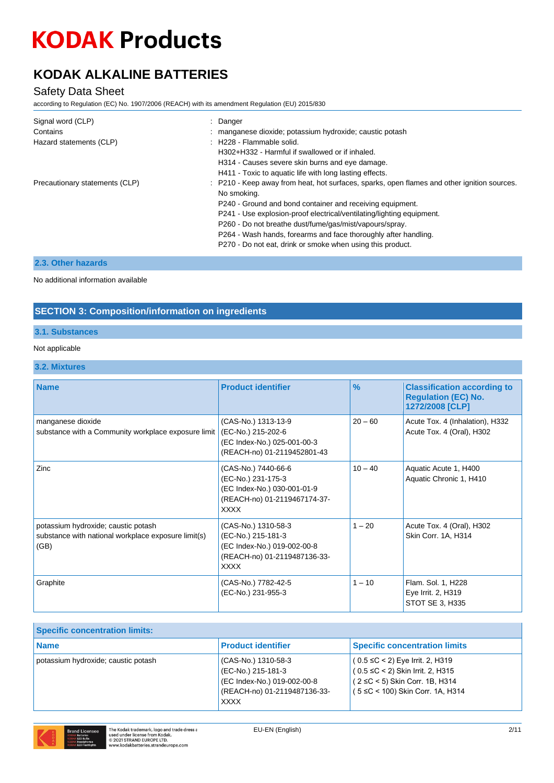# **KODAK ALKALINE BATTERIES**

## Safety Data Sheet

according to Regulation (EC) No. 1907/2006 (REACH) with its amendment Regulation (EU) 2015/830

| Signal word (CLP)<br>Contains<br>Hazard statements (CLP) | Danger<br>: manganese dioxide; potassium hydroxide; caustic potash<br>H228 - Flammable solid.<br>H302+H332 - Harmful if swallowed or if inhaled.<br>H314 - Causes severe skin burns and eye damage.<br>H411 - Toxic to aquatic life with long lasting effects.                                                                                                                                                                               |
|----------------------------------------------------------|----------------------------------------------------------------------------------------------------------------------------------------------------------------------------------------------------------------------------------------------------------------------------------------------------------------------------------------------------------------------------------------------------------------------------------------------|
| Precautionary statements (CLP)                           | : P210 - Keep away from heat, hot surfaces, sparks, open flames and other ignition sources.<br>No smoking.<br>P240 - Ground and bond container and receiving equipment.<br>P241 - Use explosion-proof electrical/ventilating/lighting equipment.<br>P260 - Do not breathe dust/fume/gas/mist/vapours/spray.<br>P264 - Wash hands, forearms and face thoroughly after handling.<br>P270 - Do not eat, drink or smoke when using this product. |

### **2.3. Other hazards**

No additional information available

## **SECTION 3: Composition/information on ingredients**

## **3.1. Substances**

#### Not applicable

### **3.2. Mixtures**

| <b>Name</b>                                                                                        | <b>Product identifier</b>                                                                                               | $\frac{9}{6}$ | <b>Classification according to</b><br><b>Regulation (EC) No.</b><br>1272/2008 [CLP] |
|----------------------------------------------------------------------------------------------------|-------------------------------------------------------------------------------------------------------------------------|---------------|-------------------------------------------------------------------------------------|
| manganese dioxide<br>substance with a Community workplace exposure limit                           | (CAS-No.) 1313-13-9<br>(EC-No.) 215-202-6<br>(EC Index-No.) 025-001-00-3<br>(REACH-no) 01-2119452801-43                 | $20 - 60$     | Acute Tox. 4 (Inhalation), H332<br>Acute Tox. 4 (Oral), H302                        |
| Zinc                                                                                               | (CAS-No.) 7440-66-6<br>(EC-No.) 231-175-3<br>(EC Index-No.) 030-001-01-9<br>(REACH-no) 01-2119467174-37-<br><b>XXXX</b> | $10 - 40$     | Aquatic Acute 1, H400<br>Aquatic Chronic 1, H410                                    |
| potassium hydroxide; caustic potash<br>substance with national workplace exposure limit(s)<br>(GB) | (CAS-No.) 1310-58-3<br>(EC-No.) 215-181-3<br>(EC Index-No.) 019-002-00-8<br>(REACH-no) 01-2119487136-33-<br><b>XXXX</b> | $1 - 20$      | Acute Tox. 4 (Oral), H302<br>Skin Corr. 1A, H314                                    |
| Graphite                                                                                           | (CAS-No.) 7782-42-5<br>(EC-No.) 231-955-3                                                                               | $1 - 10$      | Flam. Sol. 1, H228<br>Eye Irrit. 2, H319<br>STOT SE 3, H335                         |

| <b>Specific concentration limits:</b> |                                                                                                                         |                                                                                                                                                          |
|---------------------------------------|-------------------------------------------------------------------------------------------------------------------------|----------------------------------------------------------------------------------------------------------------------------------------------------------|
| <b>Name</b>                           | <b>Product identifier</b>                                                                                               | <b>Specific concentration limits</b>                                                                                                                     |
| potassium hydroxide; caustic potash   | (CAS-No.) 1310-58-3<br>(EC-No.) 215-181-3<br>(EC Index-No.) 019-002-00-8<br>(REACH-no) 01-2119487136-33-<br><b>XXXX</b> | $(0.5 ≤ C < 2)$ Eye Irrit. 2, H319<br>( $0.5 \leq C$ < 2) Skin Irrit. 2, H315<br>$(2 \le C < 5)$ Skin Corr. 1B, H314<br>(5 ≤C < 100) Skin Corr. 1A, H314 |

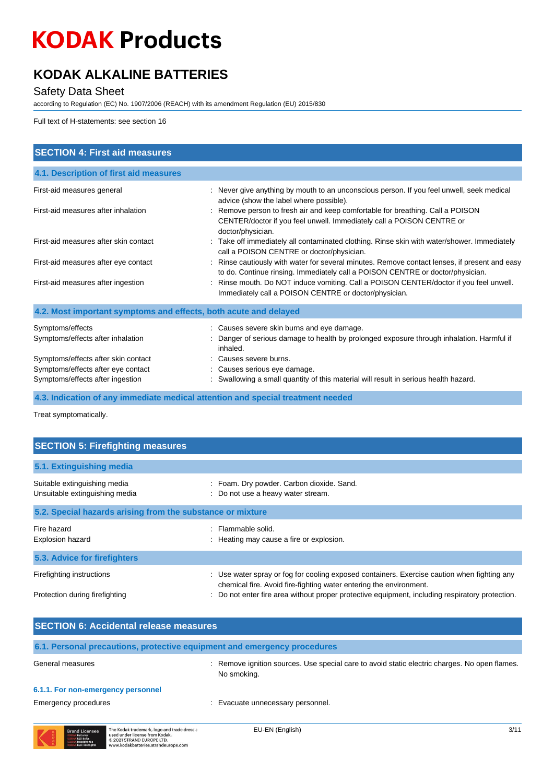# **KODAK ALKALINE BATTERIES**

# Safety Data Sheet

according to Regulation (EC) No. 1907/2006 (REACH) with its amendment Regulation (EU) 2015/830

Full text of H-statements: see section 16

| <b>SECTION 4: First aid measures</b>                                      |                                                                                                                                                                                 |
|---------------------------------------------------------------------------|---------------------------------------------------------------------------------------------------------------------------------------------------------------------------------|
| 4.1. Description of first aid measures                                    |                                                                                                                                                                                 |
| First-aid measures general                                                | : Never give anything by mouth to an unconscious person. If you feel unwell, seek medical<br>advice (show the label where possible).                                            |
| First-aid measures after inhalation                                       | : Remove person to fresh air and keep comfortable for breathing. Call a POISON<br>CENTER/doctor if you feel unwell. Immediately call a POISON CENTRE or<br>doctor/physician.    |
| First-aid measures after skin contact                                     | : Take off immediately all contaminated clothing. Rinse skin with water/shower. Immediately<br>call a POISON CENTRE or doctor/physician.                                        |
| First-aid measures after eye contact                                      | : Rinse cautiously with water for several minutes. Remove contact lenses, if present and easy<br>to do. Continue rinsing. Immediately call a POISON CENTRE or doctor/physician. |
| First-aid measures after ingestion                                        | : Rinse mouth. Do NOT induce vomiting. Call a POISON CENTER/doctor if you feel unwell.<br>Immediately call a POISON CENTRE or doctor/physician.                                 |
| 4.2. Most important symptoms and effects, both acute and delayed          |                                                                                                                                                                                 |
| Symptoms/effects<br>Symptoms/effects after inhalation                     | : Causes severe skin burns and eye damage.<br>: Danger of serious damage to health by prolonged exposure through inhalation. Harmful if<br>inhaled.                             |
| Symptoms/effects after skin contact<br>Symptoms/effects after eye contact | : Causes severe burns.<br>: Causes serious eye damage.                                                                                                                          |
| Symptoms/effects after ingestion                                          | Swallowing a small quantity of this material will result in serious health hazard.                                                                                              |

**4.3. Indication of any immediate medical attention and special treatment needed**

Treat symptomatically.

| <b>SECTION 5: Firefighting measures</b>                        |                                                                                                                                                                   |
|----------------------------------------------------------------|-------------------------------------------------------------------------------------------------------------------------------------------------------------------|
| 5.1. Extinguishing media                                       |                                                                                                                                                                   |
| Suitable extinguishing media<br>Unsuitable extinguishing media | : Foam. Dry powder. Carbon dioxide. Sand.<br>: Do not use a heavy water stream.                                                                                   |
| 5.2. Special hazards arising from the substance or mixture     |                                                                                                                                                                   |
| Fire hazard<br><b>Explosion hazard</b>                         | : Flammable solid.<br>: Heating may cause a fire or explosion.                                                                                                    |
| 5.3. Advice for firefighters                                   |                                                                                                                                                                   |
| Firefighting instructions                                      | : Use water spray or fog for cooling exposed containers. Exercise caution when fighting any<br>chemical fire. Avoid fire-fighting water entering the environment. |
| Protection during firefighting                                 | : Do not enter fire area without proper protective equipment, including respiratory protection.                                                                   |

| <b>SECTION 6: Accidental release measures</b>                            |                                                                                                              |
|--------------------------------------------------------------------------|--------------------------------------------------------------------------------------------------------------|
| 6.1. Personal precautions, protective equipment and emergency procedures |                                                                                                              |
| General measures                                                         | : Remove ignition sources. Use special care to avoid static electric charges. No open flames.<br>No smoking. |
| 6.1.1. For non-emergency personnel                                       |                                                                                                              |
| Emergency procedures                                                     | Evacuate unnecessary personnel.                                                                              |

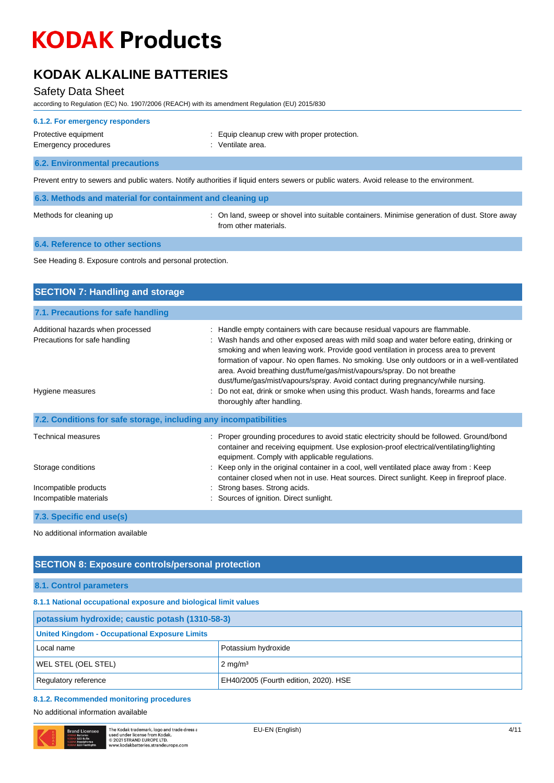# **KODAK ALKALINE BATTERIES**

### Safety Data Sheet

according to Regulation (EC) No. 1907/2006 (REACH) with its amendment Regulation (EU) 2015/830

#### **6.1.2. For emergency responders**

Emergency procedures in the set of the set of the Senate Senate area.

Protective equipment  $\qquad \qquad :$  Equip cleanup crew with proper protection.

**6.2. Environmental precautions**

Prevent entry to sewers and public waters. Notify authorities if liquid enters sewers or public waters. Avoid release to the environment.

|  |  | 6.3. Methods and material for containment and cleaning up |  |  |
|--|--|-----------------------------------------------------------|--|--|
|  |  |                                                           |  |  |

Methods for cleaning up **into a state of the state of the state of the state of the state of dust.** Store away from other materials.

### **6.4. Reference to other sections**

See Heading 8. Exposure controls and personal protection.

| <b>SECTION 7: Handling and storage</b>                                                 |                                                                                                                                                                                                                                                                                                                                                                                                                                                                                                                                                                                                                 |
|----------------------------------------------------------------------------------------|-----------------------------------------------------------------------------------------------------------------------------------------------------------------------------------------------------------------------------------------------------------------------------------------------------------------------------------------------------------------------------------------------------------------------------------------------------------------------------------------------------------------------------------------------------------------------------------------------------------------|
| 7.1. Precautions for safe handling                                                     |                                                                                                                                                                                                                                                                                                                                                                                                                                                                                                                                                                                                                 |
| Additional hazards when processed<br>Precautions for safe handling<br>Hygiene measures | : Handle empty containers with care because residual vapours are flammable.<br>: Wash hands and other exposed areas with mild soap and water before eating, drinking or<br>smoking and when leaving work. Provide good ventilation in process area to prevent<br>formation of vapour. No open flames. No smoking. Use only outdoors or in a well-ventilated<br>area. Avoid breathing dust/fume/gas/mist/vapours/spray. Do not breathe<br>dust/fume/gas/mist/vapours/spray. Avoid contact during pregnancy/while nursing.<br>: Do not eat, drink or smoke when using this product. Wash hands, forearms and face |
|                                                                                        | thoroughly after handling.                                                                                                                                                                                                                                                                                                                                                                                                                                                                                                                                                                                      |
| 7.2. Conditions for safe storage, including any incompatibilities                      |                                                                                                                                                                                                                                                                                                                                                                                                                                                                                                                                                                                                                 |
| <b>Technical measures</b>                                                              | : Proper grounding procedures to avoid static electricity should be followed. Ground/bond<br>container and receiving equipment. Use explosion-proof electrical/ventilating/lighting<br>equipment. Comply with applicable regulations.                                                                                                                                                                                                                                                                                                                                                                           |
| Storage conditions                                                                     | : Keep only in the original container in a cool, well ventilated place away from : Keep<br>container closed when not in use. Heat sources. Direct sunlight. Keep in fireproof place.                                                                                                                                                                                                                                                                                                                                                                                                                            |
| Incompatible products                                                                  | : Strong bases. Strong acids.                                                                                                                                                                                                                                                                                                                                                                                                                                                                                                                                                                                   |
| Incompatible materials                                                                 | : Sources of ignition. Direct sunlight.                                                                                                                                                                                                                                                                                                                                                                                                                                                                                                                                                                         |
| 7.3. Specific end use(s)                                                               |                                                                                                                                                                                                                                                                                                                                                                                                                                                                                                                                                                                                                 |

No additional information available

## **SECTION 8: Exposure controls/personal protection**

**8.1.1 National occupational exposure and biological limit values**

**8.1. Control parameters**

|                                                 | <b>0.1.1 National occupational exposure and ploiogical limit values</b> |
|-------------------------------------------------|-------------------------------------------------------------------------|
| potassium hydroxide; caustic potash (1310-58-3) |                                                                         |

| <b>United Kingdom - Occupational Exposure Limits</b> |                                       |
|------------------------------------------------------|---------------------------------------|
| Local name                                           | Potassium hydroxide                   |
| WEL STEL (OEL STEL)                                  | $2 \text{ mg/m}^3$                    |
| Regulatory reference                                 | EH40/2005 (Fourth edition, 2020). HSE |

#### **8.1.2. Recommended monitoring procedures**

No additional information available

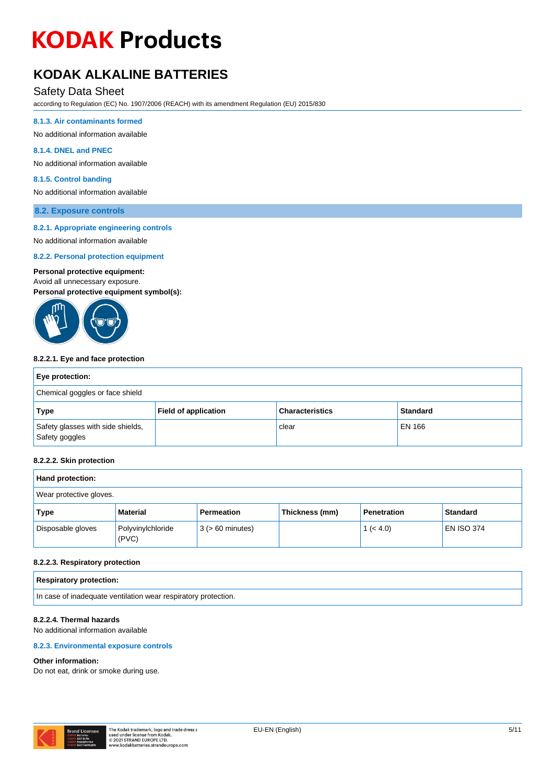# **KODAK ALKALINE BATTERIES**

## Safety Data Sheet

according to Regulation (EC) No. 1907/2006 (REACH) with its amendment Regulation (EU) 2015/830

#### **8.1.3. Air contaminants formed**

No additional information available

#### **8.1.4. DNEL and PNEC**

No additional information available

#### **8.1.5. Control banding**

No additional information available

#### **8.2. Exposure controls**

#### **8.2.1. Appropriate engineering controls**

No additional information available

### **8.2.2. Personal protection equipment**

#### **Personal protective equipment:**

Avoid all unnecessary exposure. **Personal protective equipment symbol(s):**



#### **8.2.2.1. Eye and face protection**

| <b>Eye protection:</b>                              |                             |                        |                 |
|-----------------------------------------------------|-----------------------------|------------------------|-----------------|
| Chemical goggles or face shield                     |                             |                        |                 |
| Type                                                | <b>Field of application</b> | <b>Characteristics</b> | <b>Standard</b> |
| Safety glasses with side shields,<br>Safety goggles |                             | clear                  | <b>EN 166</b>   |

#### **8.2.2.2. Skin protection**

| Hand protection:        |                            |                       |                |                    |                 |
|-------------------------|----------------------------|-----------------------|----------------|--------------------|-----------------|
| Wear protective gloves. |                            |                       |                |                    |                 |
| Type                    | Material                   | <b>Permeation</b>     | Thickness (mm) | <b>Penetration</b> | <b>Standard</b> |
| Disposable gloves       | Polyvinylchloride<br>(PVC) | $3$ ( $> 60$ minutes) |                | 1 (< 4.0)          | $EN$ ISO 374    |

#### **8.2.2.3. Respiratory protection**

| <b>Respiratory protection:</b>                                 |
|----------------------------------------------------------------|
| In case of inadequate ventilation wear respiratory protection. |

## **8.2.2.4. Thermal hazards**

No additional information available

### **8.2.3. Environmental exposure controls**

#### **Other information:**

Do not eat, drink or smoke during use.

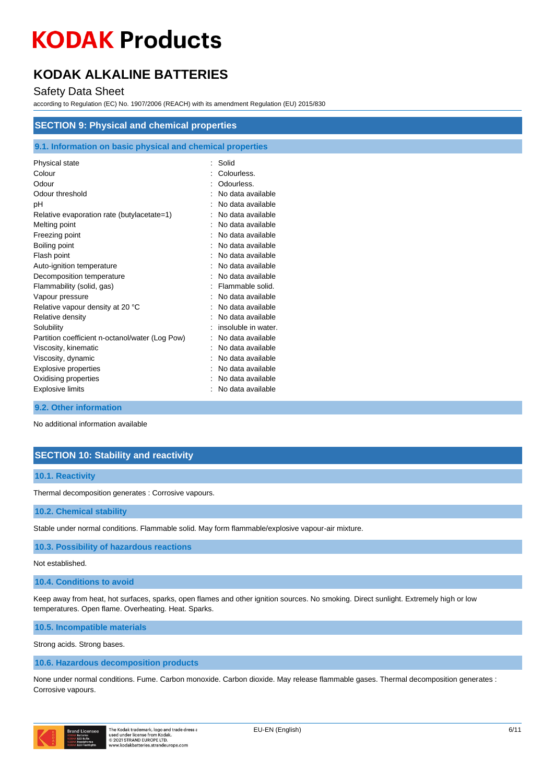# **KODAK ALKALINE BATTERIES**

## Safety Data Sheet

according to Regulation (EC) No. 1907/2006 (REACH) with its amendment Regulation (EU) 2015/830

### **SECTION 9: Physical and chemical properties**

#### **9.1. Information on basic physical and chemical properties**

| Colour<br>Colourless.<br>Odour<br>Odourless.<br>Odour threshold<br>No data available<br>No data available<br>pH<br>Relative evaporation rate (butylacetate=1)<br>No data available<br>Melting point<br>No data available<br>No data available<br>Freezing point<br>Boiling point<br>No data available<br>Flash point<br>No data available<br>No data available<br>Auto-ignition temperature<br>Decomposition temperature<br>No data available<br>Flammable solid.<br>Flammability (solid, gas)<br>No data available<br>Vapour pressure<br>No data available<br>Relative vapour density at 20 °C<br>Relative density<br>No data available<br>Solubility<br>insoluble in water.<br>No data available<br>Partition coefficient n-octanol/water (Log Pow)<br>Viscosity, kinematic<br>No data available<br>No data available<br>Viscosity, dynamic<br><b>Explosive properties</b><br>No data available<br>Oxidising properties<br>No data available<br>Explosive limits<br>No data available | Physical state | Solid |
|-----------------------------------------------------------------------------------------------------------------------------------------------------------------------------------------------------------------------------------------------------------------------------------------------------------------------------------------------------------------------------------------------------------------------------------------------------------------------------------------------------------------------------------------------------------------------------------------------------------------------------------------------------------------------------------------------------------------------------------------------------------------------------------------------------------------------------------------------------------------------------------------------------------------------------------------------------------------------------------------|----------------|-------|
|                                                                                                                                                                                                                                                                                                                                                                                                                                                                                                                                                                                                                                                                                                                                                                                                                                                                                                                                                                                         |                |       |
|                                                                                                                                                                                                                                                                                                                                                                                                                                                                                                                                                                                                                                                                                                                                                                                                                                                                                                                                                                                         |                |       |
|                                                                                                                                                                                                                                                                                                                                                                                                                                                                                                                                                                                                                                                                                                                                                                                                                                                                                                                                                                                         |                |       |
|                                                                                                                                                                                                                                                                                                                                                                                                                                                                                                                                                                                                                                                                                                                                                                                                                                                                                                                                                                                         |                |       |
|                                                                                                                                                                                                                                                                                                                                                                                                                                                                                                                                                                                                                                                                                                                                                                                                                                                                                                                                                                                         |                |       |
|                                                                                                                                                                                                                                                                                                                                                                                                                                                                                                                                                                                                                                                                                                                                                                                                                                                                                                                                                                                         |                |       |
|                                                                                                                                                                                                                                                                                                                                                                                                                                                                                                                                                                                                                                                                                                                                                                                                                                                                                                                                                                                         |                |       |
|                                                                                                                                                                                                                                                                                                                                                                                                                                                                                                                                                                                                                                                                                                                                                                                                                                                                                                                                                                                         |                |       |
|                                                                                                                                                                                                                                                                                                                                                                                                                                                                                                                                                                                                                                                                                                                                                                                                                                                                                                                                                                                         |                |       |
|                                                                                                                                                                                                                                                                                                                                                                                                                                                                                                                                                                                                                                                                                                                                                                                                                                                                                                                                                                                         |                |       |
|                                                                                                                                                                                                                                                                                                                                                                                                                                                                                                                                                                                                                                                                                                                                                                                                                                                                                                                                                                                         |                |       |
|                                                                                                                                                                                                                                                                                                                                                                                                                                                                                                                                                                                                                                                                                                                                                                                                                                                                                                                                                                                         |                |       |
|                                                                                                                                                                                                                                                                                                                                                                                                                                                                                                                                                                                                                                                                                                                                                                                                                                                                                                                                                                                         |                |       |
|                                                                                                                                                                                                                                                                                                                                                                                                                                                                                                                                                                                                                                                                                                                                                                                                                                                                                                                                                                                         |                |       |
|                                                                                                                                                                                                                                                                                                                                                                                                                                                                                                                                                                                                                                                                                                                                                                                                                                                                                                                                                                                         |                |       |
|                                                                                                                                                                                                                                                                                                                                                                                                                                                                                                                                                                                                                                                                                                                                                                                                                                                                                                                                                                                         |                |       |
|                                                                                                                                                                                                                                                                                                                                                                                                                                                                                                                                                                                                                                                                                                                                                                                                                                                                                                                                                                                         |                |       |
|                                                                                                                                                                                                                                                                                                                                                                                                                                                                                                                                                                                                                                                                                                                                                                                                                                                                                                                                                                                         |                |       |
|                                                                                                                                                                                                                                                                                                                                                                                                                                                                                                                                                                                                                                                                                                                                                                                                                                                                                                                                                                                         |                |       |
|                                                                                                                                                                                                                                                                                                                                                                                                                                                                                                                                                                                                                                                                                                                                                                                                                                                                                                                                                                                         |                |       |
|                                                                                                                                                                                                                                                                                                                                                                                                                                                                                                                                                                                                                                                                                                                                                                                                                                                                                                                                                                                         |                |       |
|                                                                                                                                                                                                                                                                                                                                                                                                                                                                                                                                                                                                                                                                                                                                                                                                                                                                                                                                                                                         |                |       |

**9.2. Other information**

No additional information available

## **SECTION 10: Stability and reactivity**

### **10.1. Reactivity**

Thermal decomposition generates : Corrosive vapours.

#### **10.2. Chemical stability**

Stable under normal conditions. Flammable solid. May form flammable/explosive vapour-air mixture.

#### **10.3. Possibility of hazardous reactions**

#### Not established.

#### **10.4. Conditions to avoid**

Keep away from heat, hot surfaces, sparks, open flames and other ignition sources. No smoking. Direct sunlight. Extremely high or low temperatures. Open flame. Overheating. Heat. Sparks.

**10.5. Incompatible materials**

Strong acids. Strong bases.

#### **10.6. Hazardous decomposition products**

None under normal conditions. Fume. Carbon monoxide. Carbon dioxide. May release flammable gases. Thermal decomposition generates : Corrosive vapours.

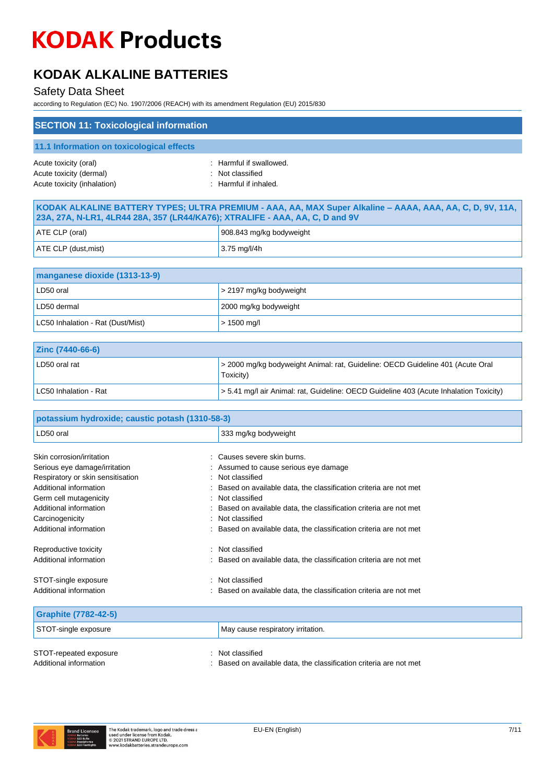# **KODAK ALKALINE BATTERIES**

## Safety Data Sheet

according to Regulation (EC) No. 1907/2006 (REACH) with its amendment Regulation (EU) 2015/830

| <b>SECTION 11: Toxicological information</b>                                                                                                                                              |  |  |  |
|-------------------------------------------------------------------------------------------------------------------------------------------------------------------------------------------|--|--|--|
| 11.1 Information on toxicological effects                                                                                                                                                 |  |  |  |
| : Harmful if swallowed.<br>Acute toxicity (oral)<br>Acute toxicity (dermal)<br>: Not classified<br>Acute toxicity (inhalation)<br>$:$ Harmful if inhaled.                                 |  |  |  |
| KODAK ALKALINE BATTERY TYPES; ULTRA PREMIUM - AAA, AA, MAX Super Alkaline – AAAA, AAA, AA, C, D, 9V, 11A,<br>23A, 27A, N-LR1, 4LR44 28A, 357 (LR44/KA76); XTRALIFE - AAA, AA, C, D and 9V |  |  |  |
| ATE CLP (oral)<br>908.843 mg/kg bodyweight                                                                                                                                                |  |  |  |
| ATE CLP (dust, mist)<br>3.75 mg/l/4h                                                                                                                                                      |  |  |  |

| manganese dioxide (1313-13-9)     |                              |
|-----------------------------------|------------------------------|
| LD50 oral                         | $\geq$ 2197 mg/kg bodyweight |
| LD50 dermal                       | 2000 mg/kg bodyweight        |
| LC50 Inhalation - Rat (Dust/Mist) | $> 1500$ mg/l                |

| Zinc (7440-66-6)      |                                                                                             |
|-----------------------|---------------------------------------------------------------------------------------------|
| LD50 oral rat         | > 2000 mg/kg bodyweight Animal: rat, Guideline: OECD Guideline 401 (Acute Oral<br>Toxicity) |
| LC50 Inhalation - Rat | > 5.41 mg/l air Animal: rat, Guideline: OECD Guideline 403 (Acute Inhalation Toxicity)      |

| potassium hydroxide; caustic potash (1310-58-3)                                                                                                     |                                                                                                                                                                                    |
|-----------------------------------------------------------------------------------------------------------------------------------------------------|------------------------------------------------------------------------------------------------------------------------------------------------------------------------------------|
| LD50 oral                                                                                                                                           | 333 mg/kg bodyweight                                                                                                                                                               |
| Skin corrosion/irritation<br>Serious eye damage/irritation<br>Respiratory or skin sensitisation<br>Additional information<br>Germ cell mutagenicity | : Causes severe skin burns.<br>: Assumed to cause serious eye damage<br>: Not classified<br>: Based on available data, the classification criteria are not met<br>: Not classified |
| Additional information<br>Carcinogenicity<br>Additional information                                                                                 | Based on available data, the classification criteria are not met<br>: Not classified<br>: Based on available data, the classification criteria are not met                         |
| Reproductive toxicity<br>Additional information                                                                                                     | Not classified<br>٠.<br>: Based on available data, the classification criteria are not met                                                                                         |
| STOT-single exposure<br>Additional information                                                                                                      | : Not classified<br>Based on available data, the classification criteria are not met                                                                                               |
| <b>Graphite (7782-42-5)</b>                                                                                                                         |                                                                                                                                                                                    |
| STOT-single exposure                                                                                                                                | May cause respiratory irritation.                                                                                                                                                  |
| STOT-repeated exposure                                                                                                                              | Not classified                                                                                                                                                                     |

| STOT-repeated exposure | NOT CIASSITIEG                                                     |
|------------------------|--------------------------------------------------------------------|
| Additional information | : Based on available data, the classification criteria are not met |

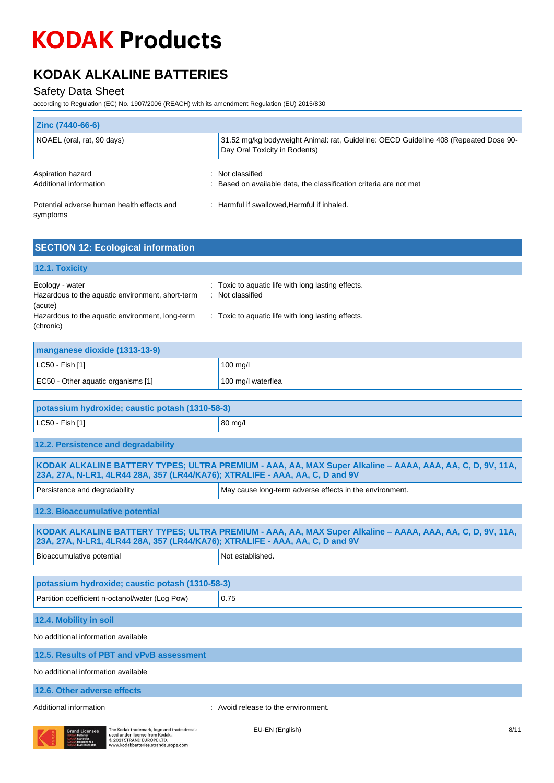# **KODAK ALKALINE BATTERIES**

## Safety Data Sheet

according to Regulation (EC) No. 1907/2006 (REACH) with its amendment Regulation (EU) 2015/830

| Zinc (7440-66-6)                                                                                                                                    |                                                                    |
|-----------------------------------------------------------------------------------------------------------------------------------------------------|--------------------------------------------------------------------|
| NOAEL (oral, rat, 90 days)<br>31.52 mg/kg bodyweight Animal: rat, Guideline: OECD Guideline 408 (Repeated Dose 90-<br>Day Oral Toxicity in Rodents) |                                                                    |
| Aspiration hazard                                                                                                                                   | : Not classified                                                   |
| Additional information                                                                                                                              | : Based on available data, the classification criteria are not met |
| Potential adverse human health effects and<br>symptoms                                                                                              | : Harmful if swallowed.Harmful if inhaled.                         |

| <b>SECTION 12: Ecological information</b>                                                                                                      |                                                                                                                              |
|------------------------------------------------------------------------------------------------------------------------------------------------|------------------------------------------------------------------------------------------------------------------------------|
| 12.1. Toxicity                                                                                                                                 |                                                                                                                              |
| Ecology - water<br>Hazardous to the aquatic environment, short-term<br>(acute)<br>Hazardous to the aquatic environment, long-term<br>(chronic) | : Toxic to aquatic life with long lasting effects.<br>: Not classified<br>: Toxic to aquatic life with long lasting effects. |
| manganese dioxide (1313-13-9)                                                                                                                  |                                                                                                                              |
| LC50 - Fish [1]                                                                                                                                | $100$ mg/l                                                                                                                   |

| potassium hydroxide; caustic potash (1310-58-3) |                   |
|-------------------------------------------------|-------------------|
| $ $ LC50 - Fish [1]                             | $80 \text{ mg/l}$ |

### **12.2. Persistence and degradability**

EC50 - Other aquatic organisms [1] 100 mg/l waterflea

| KODAK ALKALINE BATTERY TYPES; ULTRA PREMIUM - AAA, AA, MAX Super Alkaline – AAAA, AAA, AA, C, D, 9V, 11A, |
|-----------------------------------------------------------------------------------------------------------|
| 23A, 27A, N-LR1, 4LR44 28A, 357 (LR44/KA76); XTRALIFE - AAA, AA, C, D and 9V                              |

| Persistence and degradability | May cause long-term adverse effects in the environment. |
|-------------------------------|---------------------------------------------------------|
|-------------------------------|---------------------------------------------------------|

#### **12.3. Bioaccumulative potential**

Bioaccumulative potential Not established.

| potassium hydroxide; caustic potash (1310-58-3) |      |
|-------------------------------------------------|------|
| Partition coefficient n-octanol/water (Log Pow) | 0.75 |

**12.4. Mobility in soil**

No additional information available

### **12.5. Results of PBT and vPvB assessment**

No additional information available

### **12.6. Other adverse effects**

Additional information **interest in the environment.** Avoid release to the environment.

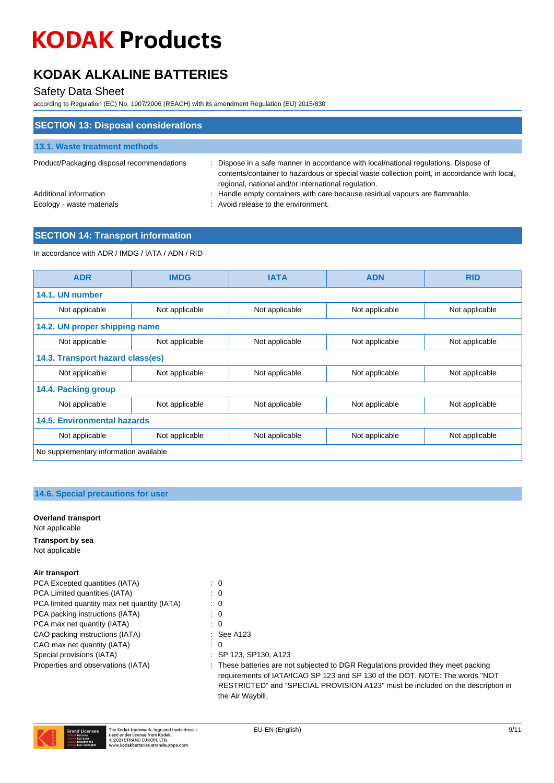# **KODAK ALKALINE BATTERIES**

## Safety Data Sheet

according to Regulation (EC) No. 1907/2006 (REACH) with its amendment Regulation (EU) 2015/830

| <b>SECTION 13: Disposal considerations</b>          |                                                                                                                                                                                                                                             |  |
|-----------------------------------------------------|---------------------------------------------------------------------------------------------------------------------------------------------------------------------------------------------------------------------------------------------|--|
| 13.1. Waste treatment methods                       |                                                                                                                                                                                                                                             |  |
| Product/Packaging disposal recommendations          | : Dispose in a safe manner in accordance with local/national regulations. Dispose of<br>contents/container to hazardous or special waste collection point, in accordance with local,<br>regional, national and/or international regulation. |  |
| Additional information<br>Ecology - waste materials | : Handle empty containers with care because residual vapours are flammable.<br>: Avoid release to the environment.                                                                                                                          |  |
|                                                     |                                                                                                                                                                                                                                             |  |

## **SECTION 14: Transport information**

In accordance with ADR / IMDG / IATA / ADN / RID

| <b>ADR</b>                             | <b>IMDG</b>    | <b>IATA</b>    | <b>ADN</b>     | <b>RID</b>     |
|----------------------------------------|----------------|----------------|----------------|----------------|
| 14.1. UN number                        |                |                |                |                |
| Not applicable                         | Not applicable | Not applicable | Not applicable | Not applicable |
| 14.2. UN proper shipping name          |                |                |                |                |
| Not applicable                         | Not applicable | Not applicable | Not applicable | Not applicable |
| 14.3. Transport hazard class(es)       |                |                |                |                |
| Not applicable                         | Not applicable | Not applicable | Not applicable | Not applicable |
| 14.4. Packing group                    |                |                |                |                |
| Not applicable                         | Not applicable | Not applicable | Not applicable | Not applicable |
| <b>14.5. Environmental hazards</b>     |                |                |                |                |
| Not applicable                         | Not applicable | Not applicable | Not applicable | Not applicable |
| No supplementary information available |                |                |                |                |

### **14.6. Special precautions for user**

| <b>Overland transport</b><br>Not applicable  |                                                                                                                                                                                                                                                                          |
|----------------------------------------------|--------------------------------------------------------------------------------------------------------------------------------------------------------------------------------------------------------------------------------------------------------------------------|
| Transport by sea                             |                                                                                                                                                                                                                                                                          |
| Not applicable                               |                                                                                                                                                                                                                                                                          |
| Air transport                                |                                                                                                                                                                                                                                                                          |
| PCA Excepted quantities (IATA)               | $\therefore$ 0                                                                                                                                                                                                                                                           |
| PCA Limited quantities (IATA)                | $\therefore$ 0                                                                                                                                                                                                                                                           |
| PCA limited quantity max net quantity (IATA) | $\therefore$ 0                                                                                                                                                                                                                                                           |
| PCA packing instructions (IATA)              | $\therefore$ 0                                                                                                                                                                                                                                                           |
| PCA max net quantity (IATA)                  | $\therefore$ 0                                                                                                                                                                                                                                                           |
| CAO packing instructions (IATA)              | $\therefore$ See A123                                                                                                                                                                                                                                                    |
| CAO max net quantity (IATA)                  | $\therefore$ 0                                                                                                                                                                                                                                                           |
| Special provisions (IATA)                    | : SP 123, SP130, A123                                                                                                                                                                                                                                                    |
| Properties and observations (IATA)           | : These batteries are not subjected to DGR Regulations provided they meet packing<br>requirements of IATA/ICAO SP 123 and SP 130 of the DOT. NOTE: The words "NOT<br>RESTRICTED" and "SPECIAL PROVISION A123" must be included on the description in<br>the Air Waybill. |

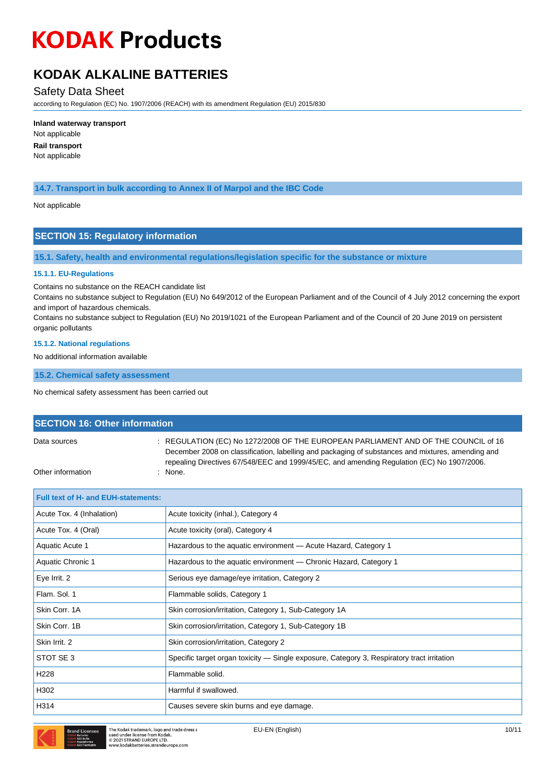# **KODAK ALKALINE BATTERIES**

## Safety Data Sheet

according to Regulation (EC) No. 1907/2006 (REACH) with its amendment Regulation (EU) 2015/830

**Inland waterway transport**

Not applicable

**Rail transport** Not applicable

#### **14.7. Transport in bulk according to Annex II of Marpol and the IBC Code**

#### Not applicable

### **SECTION 15: Regulatory information**

**15.1. Safety, health and environmental regulations/legislation specific for the substance or mixture**

#### **15.1.1. EU-Regulations**

Contains no substance on the REACH candidate list

Contains no substance subject to Regulation (EU) No 649/2012 of the European Parliament and of the Council of 4 July 2012 concerning the export and import of hazardous chemicals.

Contains no substance subject to Regulation (EU) No 2019/1021 of the European Parliament and of the Council of 20 June 2019 on persistent organic pollutants

#### **15.1.2. National regulations**

No additional information available

**15.2. Chemical safety assessment**

No chemical safety assessment has been carried out

| <b>SECTION 16: Other information</b> |                                                                                                                                                                                                                                                                                       |  |
|--------------------------------------|---------------------------------------------------------------------------------------------------------------------------------------------------------------------------------------------------------------------------------------------------------------------------------------|--|
| Data sources                         | : REGULATION (EC) No 1272/2008 OF THE EUROPEAN PARLIAMENT AND OF THE COUNCIL of 16<br>December 2008 on classification, labelling and packaging of substances and mixtures, amending and<br>repealing Directives 67/548/EEC and 1999/45/EC, and amending Regulation (EC) No 1907/2006. |  |
| Other information                    | : None.                                                                                                                                                                                                                                                                               |  |
|                                      |                                                                                                                                                                                                                                                                                       |  |

| <b>Full text of H- and EUH-statements:</b> |                                                                                            |
|--------------------------------------------|--------------------------------------------------------------------------------------------|
| Acute Tox. 4 (Inhalation)                  | Acute toxicity (inhal.), Category 4                                                        |
| Acute Tox. 4 (Oral)                        | Acute toxicity (oral), Category 4                                                          |
| Aquatic Acute 1                            | Hazardous to the aquatic environment - Acute Hazard, Category 1                            |
| Aquatic Chronic 1                          | Hazardous to the aquatic environment — Chronic Hazard, Category 1                          |
| Eye Irrit. 2                               | Serious eye damage/eye irritation, Category 2                                              |
| Flam, Sol. 1                               | Flammable solids, Category 1                                                               |
| Skin Corr. 1A                              | Skin corrosion/irritation, Category 1, Sub-Category 1A                                     |
| Skin Corr. 1B                              | Skin corrosion/irritation, Category 1, Sub-Category 1B                                     |
| Skin Irrit, 2                              | Skin corrosion/irritation, Category 2                                                      |
| STOT SE 3                                  | Specific target organ toxicity — Single exposure, Category 3, Respiratory tract irritation |
| H <sub>228</sub>                           | Flammable solid.                                                                           |
| H302                                       | Harmful if swallowed.                                                                      |
| H314                                       | Causes severe skin burns and eye damage.                                                   |